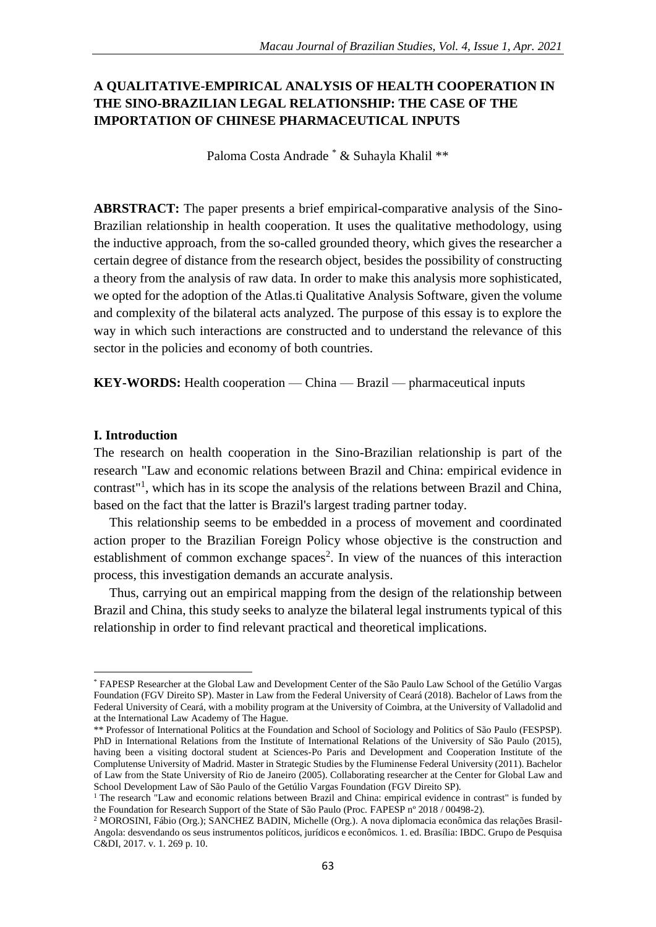# **A QUALITATIVE-EMPIRICAL ANALYSIS OF HEALTH COOPERATION IN THE SINO-BRAZILIAN LEGAL RELATIONSHIP: THE CASE OF THE IMPORTATION OF CHINESE PHARMACEUTICAL INPUTS**

Paloma Costa Andrade \* & Suhayla Khalil \*\*

**ABRSTRACT:** The paper presents a brief empirical-comparative analysis of the Sino-Brazilian relationship in health cooperation. It uses the qualitative methodology, using the inductive approach, from the so-called grounded theory, which gives the researcher a certain degree of distance from the research object, besides the possibility of constructing a theory from the analysis of raw data. In order to make this analysis more sophisticated, we opted for the adoption of the Atlas.ti Qualitative Analysis Software, given the volume and complexity of the bilateral acts analyzed. The purpose of this essay is to explore the way in which such interactions are constructed and to understand the relevance of this sector in the policies and economy of both countries.

**KEY-WORDS:** Health cooperation — China — Brazil — pharmaceutical inputs

#### **I. Introduction**

**.** 

The research on health cooperation in the Sino-Brazilian relationship is part of the research "Law and economic relations between Brazil and China: empirical evidence in contrast<sup>"1</sup>, which has in its scope the analysis of the relations between Brazil and China, based on the fact that the latter is Brazil's largest trading partner today.

This relationship seems to be embedded in a process of movement and coordinated action proper to the Brazilian Foreign Policy whose objective is the construction and establishment of common exchange spaces<sup>2</sup>. In view of the nuances of this interaction process, this investigation demands an accurate analysis.

Thus, carrying out an empirical mapping from the design of the relationship between Brazil and China, this study seeks to analyze the bilateral legal instruments typical of this relationship in order to find relevant practical and theoretical implications.

<sup>\*</sup> FAPESP Researcher at the Global Law and Development Center of the São Paulo Law School of the Getúlio Vargas Foundation (FGV Direito SP). Master in Law from the Federal University of Ceará (2018). Bachelor of Laws from the Federal University of Ceará, with a mobility program at the University of Coimbra, at the University of Valladolid and at the International Law Academy of The Hague.

<sup>\*\*</sup> Professor of International Politics at the Foundation and School of Sociology and Politics of São Paulo (FESPSP). PhD in International Relations from the Institute of International Relations of the University of São Paulo (2015), having been a visiting doctoral student at Sciences-Po Paris and Development and Cooperation Institute of the Complutense University of Madrid. Master in Strategic Studies by the Fluminense Federal University (2011). Bachelor of Law from the State University of Rio de Janeiro (2005). Collaborating researcher at the Center for Global Law and School Development Law of São Paulo of the Getúlio Vargas Foundation (FGV Direito SP).

 $1$  The research "Law and economic relations between Brazil and China: empirical evidence in contrast" is funded by the Foundation for Research Support of the State of São Paulo (Proc. FAPESP nº 2018 / 00498-2).

<sup>2</sup> MOROSINI, Fábio (Org.); SANCHEZ BADIN, Michelle (Org.). A nova diplomacia econômica das relações Brasil-Angola: desvendando os seus instrumentos políticos, jurídicos e econômicos. 1. ed. Brasília: IBDC. Grupo de Pesquisa C&DI, 2017. v. 1. 269 p. 10.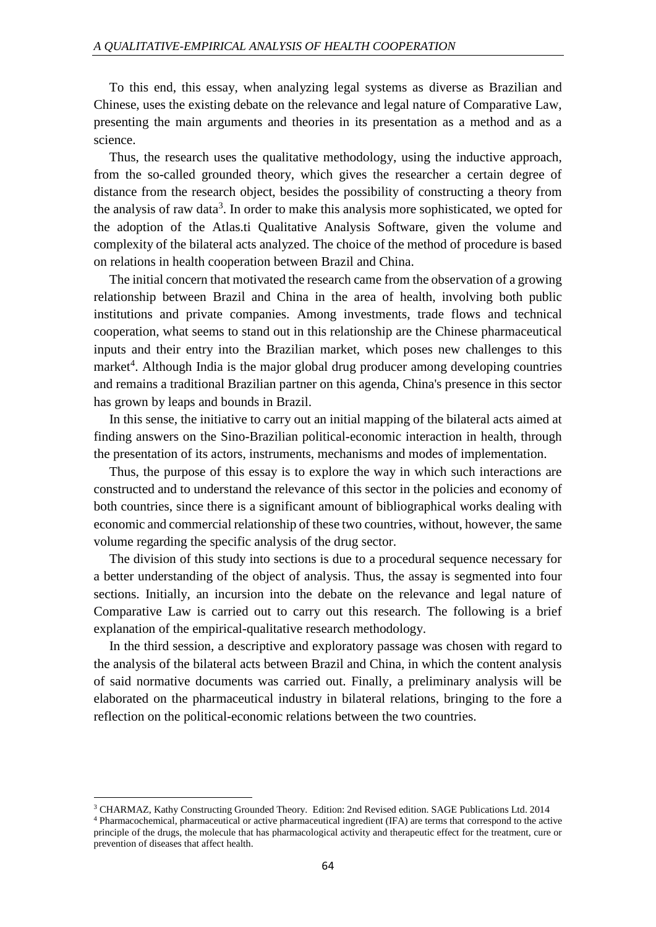To this end, this essay, when analyzing legal systems as diverse as Brazilian and Chinese, uses the existing debate on the relevance and legal nature of Comparative Law, presenting the main arguments and theories in its presentation as a method and as a science.

Thus, the research uses the qualitative methodology, using the inductive approach, from the so-called grounded theory, which gives the researcher a certain degree of distance from the research object, besides the possibility of constructing a theory from the analysis of raw data<sup>3</sup>. In order to make this analysis more sophisticated, we opted for the adoption of the Atlas.ti Qualitative Analysis Software, given the volume and complexity of the bilateral acts analyzed. The choice of the method of procedure is based on relations in health cooperation between Brazil and China.

The initial concern that motivated the research came from the observation of a growing relationship between Brazil and China in the area of health, involving both public institutions and private companies. Among investments, trade flows and technical cooperation, what seems to stand out in this relationship are the Chinese pharmaceutical inputs and their entry into the Brazilian market, which poses new challenges to this market<sup>4</sup>. Although India is the major global drug producer among developing countries and remains a traditional Brazilian partner on this agenda, China's presence in this sector has grown by leaps and bounds in Brazil.

In this sense, the initiative to carry out an initial mapping of the bilateral acts aimed at finding answers on the Sino-Brazilian political-economic interaction in health, through the presentation of its actors, instruments, mechanisms and modes of implementation.

Thus, the purpose of this essay is to explore the way in which such interactions are constructed and to understand the relevance of this sector in the policies and economy of both countries, since there is a significant amount of bibliographical works dealing with economic and commercial relationship of these two countries, without, however, the same volume regarding the specific analysis of the drug sector.

The division of this study into sections is due to a procedural sequence necessary for a better understanding of the object of analysis. Thus, the assay is segmented into four sections. Initially, an incursion into the debate on the relevance and legal nature of Comparative Law is carried out to carry out this research. The following is a brief explanation of the empirical-qualitative research methodology.

In the third session, a descriptive and exploratory passage was chosen with regard to the analysis of the bilateral acts between Brazil and China, in which the content analysis of said normative documents was carried out. Finally, a preliminary analysis will be elaborated on the pharmaceutical industry in bilateral relations, bringing to the fore a reflection on the political-economic relations between the two countries.

1

<sup>3</sup> CHARMAZ, Kathy Constructing Grounded Theory. Edition: 2nd Revised edition. SAGE Publications Ltd. 2014 <sup>4</sup> Pharmacochemical, pharmaceutical or active pharmaceutical ingredient (IFA) are terms that correspond to the active principle of the drugs, the molecule that has pharmacological activity and therapeutic effect for the treatment, cure or prevention of diseases that affect health.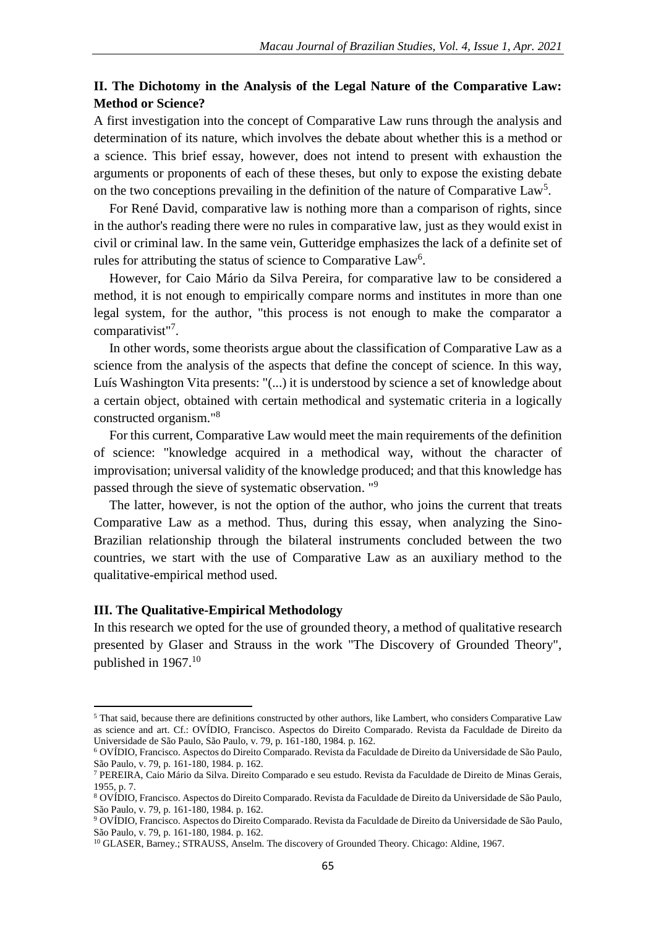# **II. The Dichotomy in the Analysis of the Legal Nature of the Comparative Law: Method or Science?**

A first investigation into the concept of Comparative Law runs through the analysis and determination of its nature, which involves the debate about whether this is a method or a science. This brief essay, however, does not intend to present with exhaustion the arguments or proponents of each of these theses, but only to expose the existing debate on the two conceptions prevailing in the definition of the nature of Comparative Law<sup>5</sup>.

For René David, comparative law is nothing more than a comparison of rights, since in the author's reading there were no rules in comparative law, just as they would exist in civil or criminal law. In the same vein, Gutteridge emphasizes the lack of a definite set of rules for attributing the status of science to Comparative Law<sup>6</sup>.

However, for Caio Mário da Silva Pereira, for comparative law to be considered a method, it is not enough to empirically compare norms and institutes in more than one legal system, for the author, "this process is not enough to make the comparator a comparativist"<sup>7</sup>.

In other words, some theorists argue about the classification of Comparative Law as a science from the analysis of the aspects that define the concept of science. In this way, Luís Washington Vita presents: "(...) it is understood by science a set of knowledge about a certain object, obtained with certain methodical and systematic criteria in a logically constructed organism."<sup>8</sup>

For this current, Comparative Law would meet the main requirements of the definition of science: "knowledge acquired in a methodical way, without the character of improvisation; universal validity of the knowledge produced; and that this knowledge has passed through the sieve of systematic observation. "<sup>9</sup>

The latter, however, is not the option of the author, who joins the current that treats Comparative Law as a method. Thus, during this essay, when analyzing the Sino-Brazilian relationship through the bilateral instruments concluded between the two countries, we start with the use of Comparative Law as an auxiliary method to the qualitative-empirical method used.

#### **III. The Qualitative-Empirical Methodology**

 $\overline{a}$ 

In this research we opted for the use of grounded theory, a method of qualitative research presented by Glaser and Strauss in the work "The Discovery of Grounded Theory", published in 1967.<sup>10</sup>

<sup>5</sup> That said, because there are definitions constructed by other authors, like Lambert, who considers Comparative Law as science and art. Cf.: OVÍDIO, Francisco. Aspectos do Direito Comparado. Revista da Faculdade de Direito da Universidade de São Paulo, São Paulo, v. 79, p. 161-180, 1984. p. 162.

<sup>6</sup> OVÍDIO, Francisco. Aspectos do Direito Comparado. Revista da Faculdade de Direito da Universidade de São Paulo, São Paulo, v. 79, p. 161-180, 1984. p. 162.

<sup>7</sup> PEREIRA, Caio Mário da Silva. Direito Comparado e seu estudo. Revista da Faculdade de Direito de Minas Gerais, 1955, p. 7.

<sup>8</sup> OVÍDIO, Francisco. Aspectos do Direito Comparado. Revista da Faculdade de Direito da Universidade de São Paulo, São Paulo, v. 79, p. 161-180, 1984. p. 162.

<sup>9</sup> OVÍDIO, Francisco. Aspectos do Direito Comparado. Revista da Faculdade de Direito da Universidade de São Paulo, São Paulo, v. 79, p. 161-180, 1984. p. 162.

<sup>&</sup>lt;sup>10</sup> GLASER, Barney.; STRAUSS, Anselm. The discovery of Grounded Theory. Chicago: Aldine, 1967.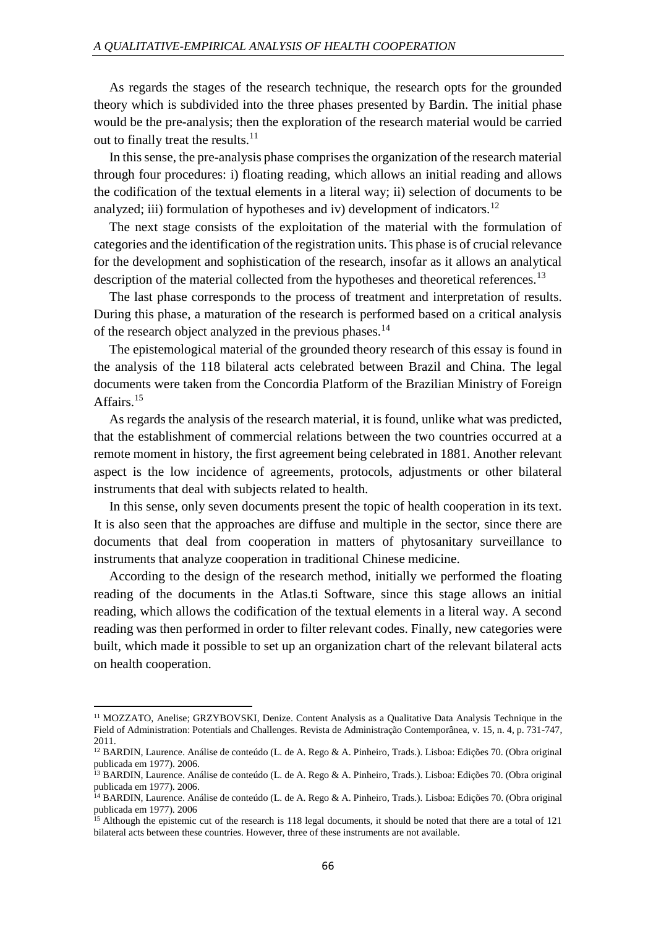As regards the stages of the research technique, the research opts for the grounded theory which is subdivided into the three phases presented by Bardin. The initial phase would be the pre-analysis; then the exploration of the research material would be carried out to finally treat the results. $11$ 

In this sense, the pre-analysis phase comprises the organization of the research material through four procedures: i) floating reading, which allows an initial reading and allows the codification of the textual elements in a literal way; ii) selection of documents to be analyzed; iii) formulation of hypotheses and iv) development of indicators.<sup>12</sup>

The next stage consists of the exploitation of the material with the formulation of categories and the identification of the registration units. This phase is of crucial relevance for the development and sophistication of the research, insofar as it allows an analytical description of the material collected from the hypotheses and theoretical references.<sup>13</sup>

The last phase corresponds to the process of treatment and interpretation of results. During this phase, a maturation of the research is performed based on a critical analysis of the research object analyzed in the previous phases.<sup>14</sup>

The epistemological material of the grounded theory research of this essay is found in the analysis of the 118 bilateral acts celebrated between Brazil and China. The legal documents were taken from the Concordia Platform of the Brazilian Ministry of Foreign Affairs.<sup>15</sup>

As regards the analysis of the research material, it is found, unlike what was predicted, that the establishment of commercial relations between the two countries occurred at a remote moment in history, the first agreement being celebrated in 1881. Another relevant aspect is the low incidence of agreements, protocols, adjustments or other bilateral instruments that deal with subjects related to health.

In this sense, only seven documents present the topic of health cooperation in its text. It is also seen that the approaches are diffuse and multiple in the sector, since there are documents that deal from cooperation in matters of phytosanitary surveillance to instruments that analyze cooperation in traditional Chinese medicine.

According to the design of the research method, initially we performed the floating reading of the documents in the Atlas.ti Software, since this stage allows an initial reading, which allows the codification of the textual elements in a literal way. A second reading was then performed in order to filter relevant codes. Finally, new categories were built, which made it possible to set up an organization chart of the relevant bilateral acts on health cooperation.

 $\overline{a}$ 

<sup>&</sup>lt;sup>11</sup> MOZZATO, Anelise; GRZYBOVSKI, Denize. Content Analysis as a Qualitative Data Analysis Technique in the Field of Administration: Potentials and Challenges. Revista de Administração Contemporânea, v. 15, n. 4, p. 731-747, 2011.

<sup>12</sup> BARDIN, Laurence. Análise de conteúdo (L. de A. Rego & A. Pinheiro, Trads.). Lisboa: Edições 70. (Obra original publicada em 1977). 2006.

<sup>13</sup> BARDIN, Laurence. Análise de conteúdo (L. de A. Rego & A. Pinheiro, Trads.). Lisboa: Edições 70. (Obra original publicada em 1977). 2006.

<sup>&</sup>lt;sup>14</sup> BARDIN, Laurence. Análise de conteúdo (L. de A. Rego & A. Pinheiro, Trads.). Lisboa: Edições 70. (Obra original publicada em 1977). 2006

<sup>&</sup>lt;sup>15</sup> Although the epistemic cut of the research is 118 legal documents, it should be noted that there are a total of 121 bilateral acts between these countries. However, three of these instruments are not available.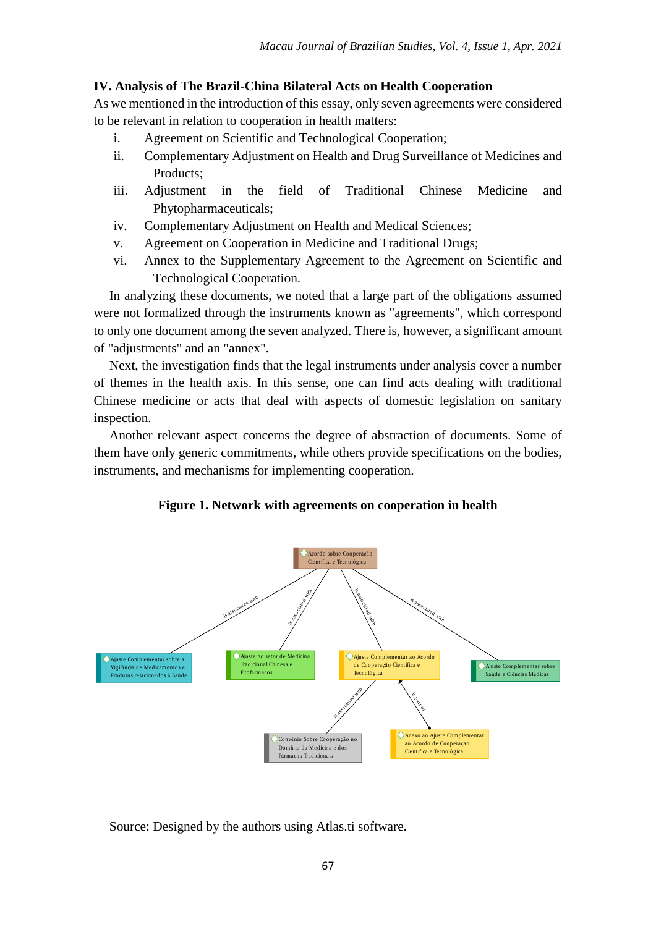### **IV. Analysis of The Brazil-China Bilateral Acts on Health Cooperation**

As we mentioned in the introduction of this essay, only seven agreements were considered to be relevant in relation to cooperation in health matters:

- i. Agreement on Scientific and Technological Cooperation;
- ii. Complementary Adjustment on Health and Drug Surveillance of Medicines and Products;
- iii. Adjustment in the field of Traditional Chinese Medicine and Phytopharmaceuticals;
- iv. Complementary Adjustment on Health and Medical Sciences;
- v. Agreement on Cooperation in Medicine and Traditional Drugs;
- vi. Annex to the Supplementary Agreement to the Agreement on Scientific and Technological Cooperation.

In analyzing these documents, we noted that a large part of the obligations assumed were not formalized through the instruments known as "agreements", which correspond to only one document among the seven analyzed. There is, however, a significant amount of "adjustments" and an "annex".

Next, the investigation finds that the legal instruments under analysis cover a number of themes in the health axis. In this sense, one can find acts dealing with traditional Chinese medicine or acts that deal with aspects of domestic legislation on sanitary inspection.

Another relevant aspect concerns the degree of abstraction of documents. Some of them have only generic commitments, while others provide specifications on the bodies, instruments, and mechanisms for implementing cooperation.

### **Figure 1. Network with agreements on cooperation in health**



Source: Designed by the authors using Atlas.ti software.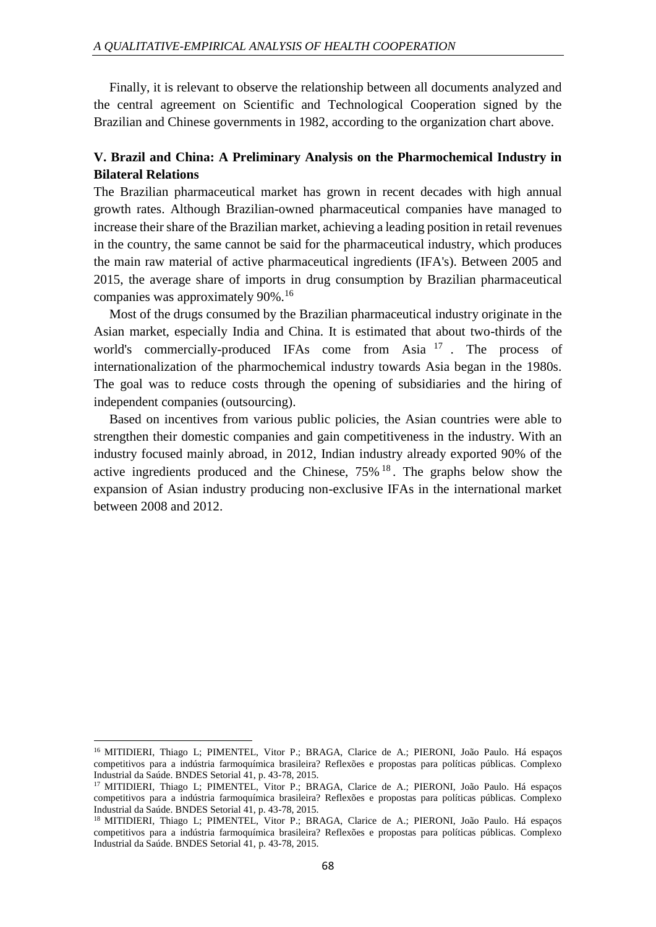Finally, it is relevant to observe the relationship between all documents analyzed and the central agreement on Scientific and Technological Cooperation signed by the Brazilian and Chinese governments in 1982, according to the organization chart above.

# **V. Brazil and China: A Preliminary Analysis on the Pharmochemical Industry in Bilateral Relations**

The Brazilian pharmaceutical market has grown in recent decades with high annual growth rates. Although Brazilian-owned pharmaceutical companies have managed to increase their share of the Brazilian market, achieving a leading position in retail revenues in the country, the same cannot be said for the pharmaceutical industry, which produces the main raw material of active pharmaceutical ingredients (IFA's). Between 2005 and 2015, the average share of imports in drug consumption by Brazilian pharmaceutical companies was approximately 90%.<sup>16</sup>

Most of the drugs consumed by the Brazilian pharmaceutical industry originate in the Asian market, especially India and China. It is estimated that about two-thirds of the world's commercially-produced IFAs come from Asia <sup>17</sup>. The process of internationalization of the pharmochemical industry towards Asia began in the 1980s. The goal was to reduce costs through the opening of subsidiaries and the hiring of independent companies (outsourcing).

Based on incentives from various public policies, the Asian countries were able to strengthen their domestic companies and gain competitiveness in the industry. With an industry focused mainly abroad, in 2012, Indian industry already exported 90% of the active ingredients produced and the Chinese,  $75\%$  <sup>18</sup>. The graphs below show the expansion of Asian industry producing non-exclusive IFAs in the international market between 2008 and 2012.

1

<sup>16</sup> MITIDIERI, Thiago L; PIMENTEL, Vitor P.; BRAGA, Clarice de A.; PIERONI, João Paulo. Há espaços competitivos para a indústria farmoquímica brasileira? Reflexões e propostas para políticas públicas. Complexo Industrial da Saúde. BNDES Setorial 41, p. 43-78, 2015.

<sup>&</sup>lt;sup>17</sup> MITIDIERI, Thiago L; PIMENTEL, Vitor P.; BRAGA, Clarice de A.; PIERONI, João Paulo. Há espaços competitivos para a indústria farmoquímica brasileira? Reflexões e propostas para políticas públicas. Complexo Industrial da Saúde. BNDES Setorial 41, p. 43-78, 2015.

<sup>&</sup>lt;sup>18</sup> MITIDIERI, Thiago L; PIMENTEL, Vitor P.; BRAGA, Clarice de A.; PIERONI, João Paulo. Há espaços competitivos para a indústria farmoquímica brasileira? Reflexões e propostas para políticas públicas. Complexo Industrial da Saúde. BNDES Setorial 41, p. 43-78, 2015.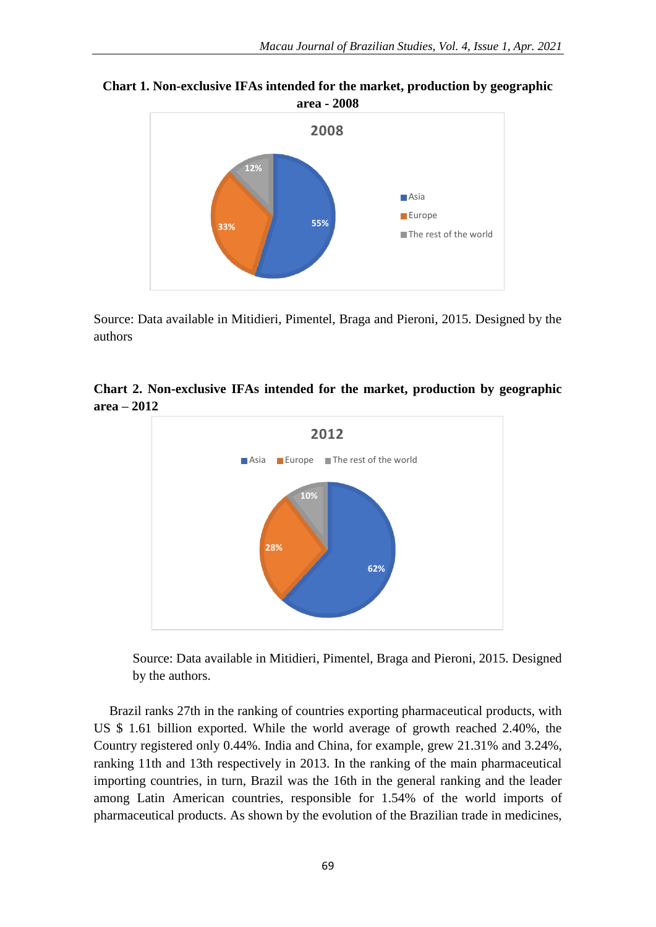**Chart 1. Non-exclusive IFAs intended for the market, production by geographic area - 2008**



Source: Data available in Mitidieri, Pimentel, Braga and Pieroni, 2015. Designed by the authors

**Chart 2. Non-exclusive IFAs intended for the market, production by geographic area – 2012**



Source: Data available in Mitidieri, Pimentel, Braga and Pieroni, 2015. Designed by the authors.

Brazil ranks 27th in the ranking of countries exporting pharmaceutical products, with US \$ 1.61 billion exported. While the world average of growth reached 2.40%, the Country registered only 0.44%. India and China, for example, grew 21.31% and 3.24%, ranking 11th and 13th respectively in 2013. In the ranking of the main pharmaceutical importing countries, in turn, Brazil was the 16th in the general ranking and the leader among Latin American countries, responsible for 1.54% of the world imports of pharmaceutical products. As shown by the evolution of the Brazilian trade in medicines,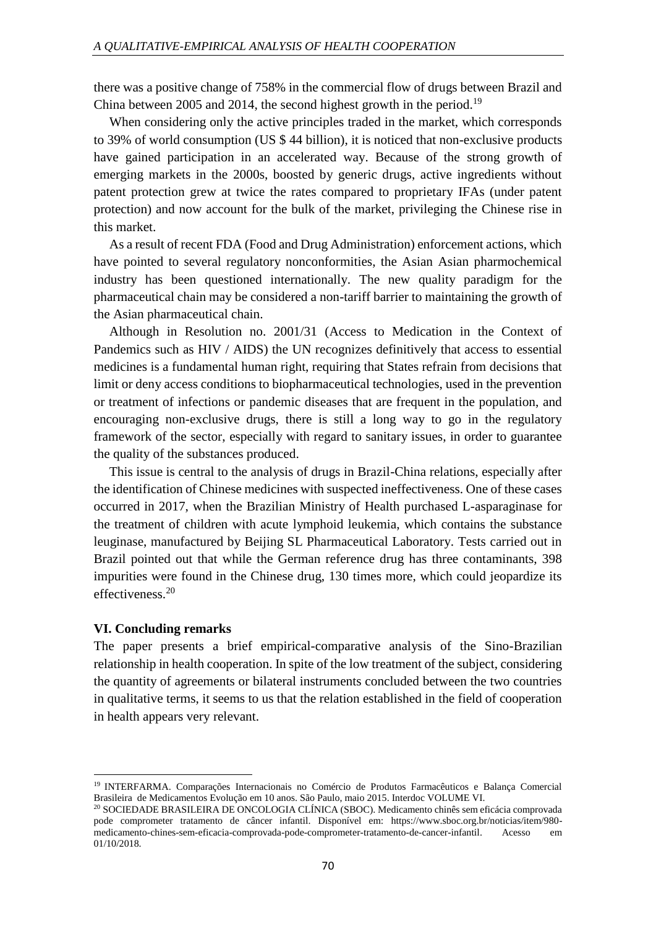there was a positive change of 758% in the commercial flow of drugs between Brazil and China between 2005 and 2014, the second highest growth in the period.<sup>19</sup>

When considering only the active principles traded in the market, which corresponds to 39% of world consumption (US \$ 44 billion), it is noticed that non-exclusive products have gained participation in an accelerated way. Because of the strong growth of emerging markets in the 2000s, boosted by generic drugs, active ingredients without patent protection grew at twice the rates compared to proprietary IFAs (under patent protection) and now account for the bulk of the market, privileging the Chinese rise in this market.

As a result of recent FDA (Food and Drug Administration) enforcement actions, which have pointed to several regulatory nonconformities, the Asian Asian pharmochemical industry has been questioned internationally. The new quality paradigm for the pharmaceutical chain may be considered a non-tariff barrier to maintaining the growth of the Asian pharmaceutical chain.

Although in Resolution no. 2001/31 (Access to Medication in the Context of Pandemics such as HIV / AIDS) the UN recognizes definitively that access to essential medicines is a fundamental human right, requiring that States refrain from decisions that limit or deny access conditions to biopharmaceutical technologies, used in the prevention or treatment of infections or pandemic diseases that are frequent in the population, and encouraging non-exclusive drugs, there is still a long way to go in the regulatory framework of the sector, especially with regard to sanitary issues, in order to guarantee the quality of the substances produced.

This issue is central to the analysis of drugs in Brazil-China relations, especially after the identification of Chinese medicines with suspected ineffectiveness. One of these cases occurred in 2017, when the Brazilian Ministry of Health purchased L-asparaginase for the treatment of children with acute lymphoid leukemia, which contains the substance leuginase, manufactured by Beijing SL Pharmaceutical Laboratory. Tests carried out in Brazil pointed out that while the German reference drug has three contaminants, 398 impurities were found in the Chinese drug, 130 times more, which could jeopardize its effectiveness.<sup>20</sup>

#### **VI. Concluding remarks**

**.** 

The paper presents a brief empirical-comparative analysis of the Sino-Brazilian relationship in health cooperation. In spite of the low treatment of the subject, considering the quantity of agreements or bilateral instruments concluded between the two countries in qualitative terms, it seems to us that the relation established in the field of cooperation in health appears very relevant.

<sup>19</sup> INTERFARMA. Comparações Internacionais no Comércio de Produtos Farmacêuticos e Balança Comercial Brasileira de Medicamentos Evolução em 10 anos. São Paulo, maio 2015. Interdoc VOLUME VI.

<sup>20</sup> SOCIEDADE BRASILEIRA DE ONCOLOGIA CLÍNICA (SBOC). Medicamento chinês sem eficácia comprovada pode comprometer tratamento de câncer infantil. Disponível em: https://www.sboc.org.br/noticias/item/980 medicamento-chines-sem-eficacia-comprovada-pode-comprometer-tratamento-de-cancer-infantil. Acesso em 01/10/2018.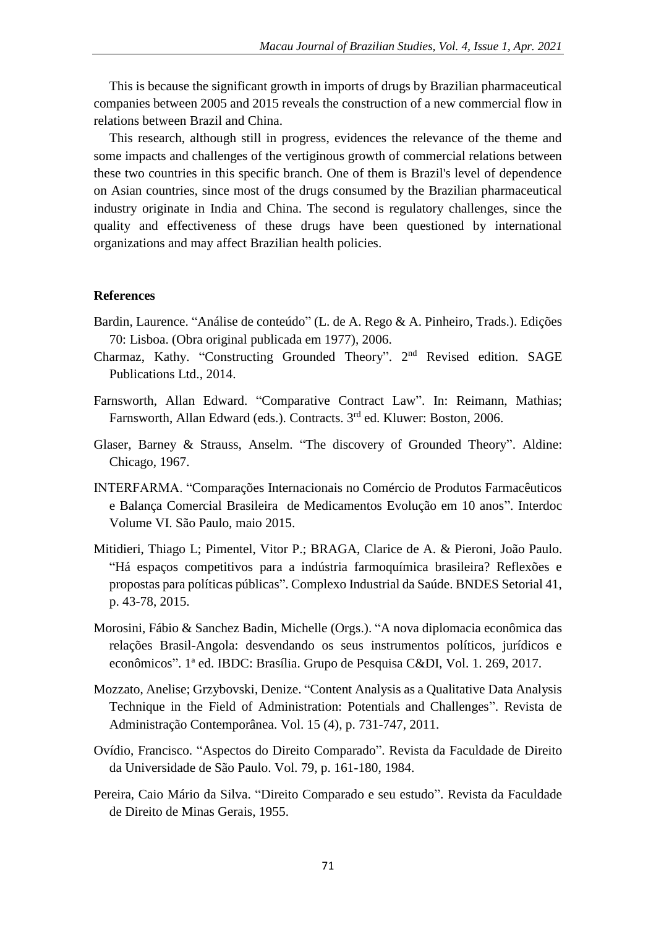This is because the significant growth in imports of drugs by Brazilian pharmaceutical companies between 2005 and 2015 reveals the construction of a new commercial flow in relations between Brazil and China.

This research, although still in progress, evidences the relevance of the theme and some impacts and challenges of the vertiginous growth of commercial relations between these two countries in this specific branch. One of them is Brazil's level of dependence on Asian countries, since most of the drugs consumed by the Brazilian pharmaceutical industry originate in India and China. The second is regulatory challenges, since the quality and effectiveness of these drugs have been questioned by international organizations and may affect Brazilian health policies.

#### **References**

- Bardin, Laurence. "Análise de conteúdo" (L. de A. Rego & A. Pinheiro, Trads.). Edições 70: Lisboa. (Obra original publicada em 1977), 2006.
- Charmaz, Kathy. "Constructing Grounded Theory". 2<sup>nd</sup> Revised edition. SAGE Publications Ltd., 2014.
- Farnsworth, Allan Edward. "Comparative Contract Law". In: Reimann, Mathias; Farnsworth, Allan Edward (eds.). Contracts. 3<sup>rd</sup> ed. Kluwer: Boston, 2006.
- Glaser, Barney & Strauss, Anselm. "The discovery of Grounded Theory". Aldine: Chicago, 1967.
- INTERFARMA. "Comparações Internacionais no Comércio de Produtos Farmacêuticos e Balança Comercial Brasileira de Medicamentos Evolução em 10 anos". Interdoc Volume VI. São Paulo, maio 2015.
- Mitidieri, Thiago L; Pimentel, Vitor P.; BRAGA, Clarice de A. & Pieroni, João Paulo. "Há espaços competitivos para a indústria farmoquímica brasileira? Reflexões e propostas para políticas públicas". Complexo Industrial da Saúde. BNDES Setorial 41, p. 43-78, 2015.
- Morosini, Fábio & Sanchez Badin, Michelle (Orgs.). "A nova diplomacia econômica das relações Brasil-Angola: desvendando os seus instrumentos políticos, jurídicos e econômicos". 1ª ed. IBDC: Brasília. Grupo de Pesquisa C&DI, Vol. 1. 269, 2017.
- Mozzato, Anelise; Grzybovski, Denize. "Content Analysis as a Qualitative Data Analysis Technique in the Field of Administration: Potentials and Challenges". Revista de Administração Contemporânea. Vol. 15 (4), p. 731-747, 2011.
- Ovídio, Francisco. "Aspectos do Direito Comparado". Revista da Faculdade de Direito da Universidade de São Paulo. Vol. 79, p. 161-180, 1984.
- Pereira, Caio Mário da Silva. "Direito Comparado e seu estudo". Revista da Faculdade de Direito de Minas Gerais, 1955.